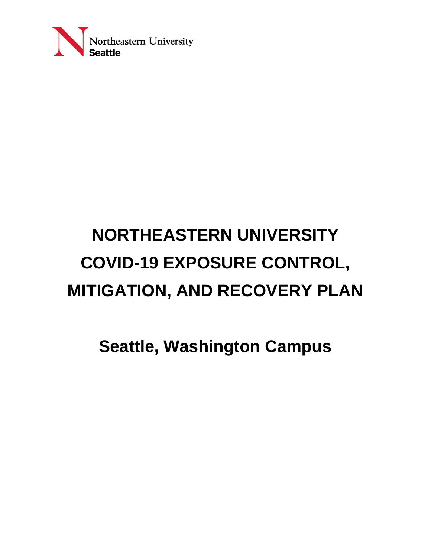

# **NORTHEASTERN UNIVERSITY COVID-19 EXPOSURE CONTROL, MITIGATION, AND RECOVERY PLAN**

**Seattle, Washington Campus**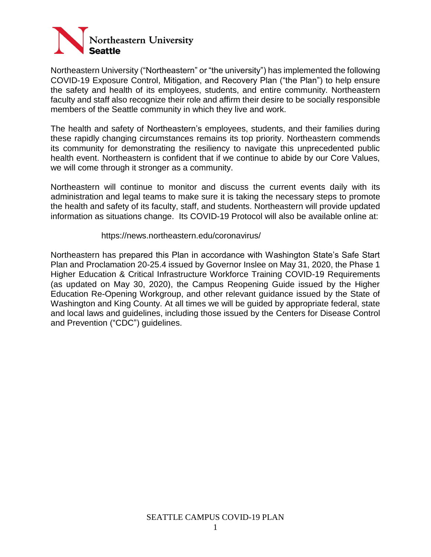

Northeastern University ("Northeastern" or "the university") has implemented the following COVID-19 Exposure Control, Mitigation, and Recovery Plan ("the Plan") to help ensure the safety and health of its employees, students, and entire community. Northeastern faculty and staff also recognize their role and affirm their desire to be socially responsible members of the Seattle community in which they live and work.

The health and safety of Northeastern's employees, students, and their families during these rapidly changing circumstances remains its top priority. Northeastern commends its community for demonstrating the resiliency to navigate this unprecedented public health event. Northeastern is confident that if we continue to abide by our Core Values, we will come through it stronger as a community.

Northeastern will continue to monitor and discuss the current events daily with its administration and legal teams to make sure it is taking the necessary steps to promote the health and safety of its faculty, staff, and students. Northeastern will provide updated information as situations change. Its COVID-19 Protocol will also be available online at:

#### https://news.northeastern.edu/coronavirus/

Northeastern has prepared this Plan in accordance with Washington State's Safe Start Plan and Proclamation 20-25.4 issued by Governor Inslee on May 31, 2020, the Phase 1 Higher Education & Critical Infrastructure Workforce Training COVID-19 Requirements (as updated on May 30, 2020), the Campus Reopening Guide issued by the Higher Education Re-Opening Workgroup, and other relevant guidance issued by the State of Washington and King County. At all times we will be guided by appropriate federal, state and local laws and guidelines, including those issued by the Centers for Disease Control and Prevention ("CDC") guidelines.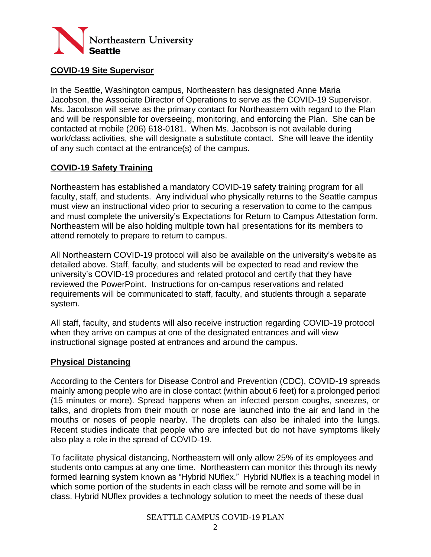

### **COVID-19 Site Supervisor**

In the Seattle, Washington campus, Northeastern has designated Anne Maria Jacobson, the Associate Director of Operations to serve as the COVID-19 Supervisor. Ms. Jacobson will serve as the primary contact for Northeastern with regard to the Plan and will be responsible for overseeing, monitoring, and enforcing the Plan. She can be contacted at mobile (206) 618-0181. When Ms. Jacobson is not available during work/class activities, she will designate a substitute contact. She will leave the identity of any such contact at the entrance(s) of the campus.

## **COVID-19 Safety Training**

Northeastern has established a mandatory COVID-19 safety training program for all faculty, staff, and students. Any individual who physically returns to the Seattle campus must view an instructional video prior to securing a reservation to come to the campus and must complete the university's Expectations for Return to Campus Attestation form. Northeastern will be also holding multiple town hall presentations for its members to attend remotely to prepare to return to campus.

All Northeastern COVID-19 protocol will also be available on the university's website as detailed above. Staff, faculty, and students will be expected to read and review the university's COVID-19 procedures and related protocol and certify that they have reviewed the PowerPoint. Instructions for on-campus reservations and related requirements will be communicated to staff, faculty, and students through a separate system.

All staff, faculty, and students will also receive instruction regarding COVID-19 protocol when they arrive on campus at one of the designated entrances and will view instructional signage posted at entrances and around the campus.

### **Physical Distancing**

According to the Centers for Disease Control and Prevention (CDC), COVID-19 spreads mainly among people who are in close contact (within about 6 feet) for a prolonged period (15 minutes or more). Spread happens when an infected person coughs, sneezes, or talks, and droplets from their mouth or nose are launched into the air and land in the mouths or noses of people nearby. The droplets can also be inhaled into the lungs. Recent studies indicate that people who are infected but do not have symptoms likely also play a role in the spread of COVID-19.

To facilitate physical distancing, Northeastern will only allow 25% of its employees and students onto campus at any one time. Northeastern can monitor this through its newly formed learning system known as "Hybrid NUflex." Hybrid NUflex is a teaching model in which some portion of the students in each class will be remote and some will be in class. Hybrid NUflex provides a technology solution to meet the needs of these dual

#### SEATTLE CAMPUS COVID-19 PLAN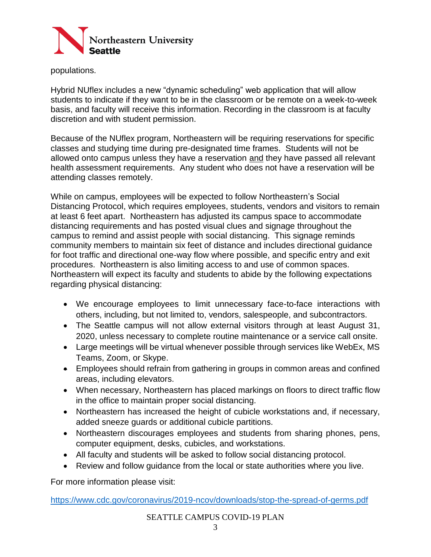

populations.

Hybrid NUflex includes a new "dynamic scheduling" web application that will allow students to indicate if they want to be in the classroom or be remote on a week-to-week basis, and faculty will receive this information. Recording in the classroom is at faculty discretion and with student permission.

Because of the NUflex program, Northeastern will be requiring reservations for specific classes and studying time during pre-designated time frames. Students will not be allowed onto campus unless they have a reservation and they have passed all relevant health assessment requirements. Any student who does not have a reservation will be attending classes remotely.

While on campus, employees will be expected to follow Northeastern's Social Distancing Protocol, which requires employees, students, vendors and visitors to remain at least 6 feet apart. Northeastern has adjusted its campus space to accommodate distancing requirements and has posted visual clues and signage throughout the campus to remind and assist people with social distancing. This signage reminds community members to maintain six feet of distance and includes directional guidance for foot traffic and directional one-way flow where possible, and specific entry and exit procedures. Northeastern is also limiting access to and use of common spaces. Northeastern will expect its faculty and students to abide by the following expectations regarding physical distancing:

- We encourage employees to limit unnecessary face-to-face interactions with others, including, but not limited to, vendors, salespeople, and subcontractors.
- The Seattle campus will not allow external visitors through at least August 31, 2020, unless necessary to complete routine maintenance or a service call onsite.
- Large meetings will be virtual whenever possible through services like WebEx, MS Teams, Zoom, or Skype.
- Employees should refrain from gathering in groups in common areas and confined areas, including elevators.
- When necessary, Northeastern has placed markings on floors to direct traffic flow in the office to maintain proper social distancing.
- Northeastern has increased the height of cubicle workstations and, if necessary, added sneeze guards or additional cubicle partitions.
- Northeastern discourages employees and students from sharing phones, pens, computer equipment, desks, cubicles, and workstations.
- All faculty and students will be asked to follow social distancing protocol.
- Review and follow guidance from the local or state authorities where you live.

For more information please visit:

<https://www.cdc.gov/coronavirus/2019-ncov/downloads/stop-the-spread-of-germs.pdf>

SEATTLE CAMPUS COVID-19 PLAN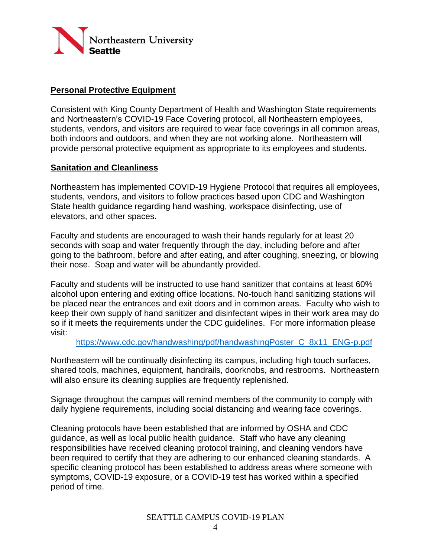

## **Personal Protective Equipment**

Consistent with King County Department of Health and Washington State requirements and Northeastern's COVID-19 Face Covering protocol, all Northeastern employees, students, vendors, and visitors are required to wear face coverings in all common areas, both indoors and outdoors, and when they are not working alone. Northeastern will provide personal protective equipment as appropriate to its employees and students.

### **Sanitation and Cleanliness**

Northeastern has implemented COVID-19 Hygiene Protocol that requires all employees, students, vendors, and visitors to follow practices based upon CDC and Washington State health guidance regarding hand washing, workspace disinfecting, use of elevators, and other spaces.

Faculty and students are encouraged to wash their hands regularly for at least 20 seconds with soap and water frequently through the day, including before and after going to the bathroom, before and after eating, and after coughing, sneezing, or blowing their nose. Soap and water will be abundantly provided.

Faculty and students will be instructed to use hand sanitizer that contains at least 60% alcohol upon entering and exiting office locations. No-touch hand sanitizing stations will be placed near the entrances and exit doors and in common areas. Faculty who wish to keep their own supply of hand sanitizer and disinfectant wipes in their work area may do so if it meets the requirements under the CDC guidelines. For more information please visit:

[https://www.cdc.gov/handwashing/pdf/handwashingPoster\\_C\\_8x11\\_ENG-p.pdf](https://www.cdc.gov/handwashing/pdf/handwashingPoster_C_8x11_ENG-p.pdf)

Northeastern will be continually disinfecting its campus, including high touch surfaces, shared tools, machines, equipment, handrails, doorknobs, and restrooms. Northeastern will also ensure its cleaning supplies are frequently replenished.

Signage throughout the campus will remind members of the community to comply with daily hygiene requirements, including social distancing and wearing face coverings.

Cleaning protocols have been established that are informed by OSHA and CDC guidance, as well as local public health guidance. Staff who have any cleaning responsibilities have received cleaning protocol training, and cleaning vendors have been required to certify that they are adhering to our enhanced cleaning standards. A specific cleaning protocol has been established to address areas where someone with symptoms, COVID-19 exposure, or a COVID-19 test has worked within a specified period of time.

SEATTLE CAMPUS COVID-19 PLAN